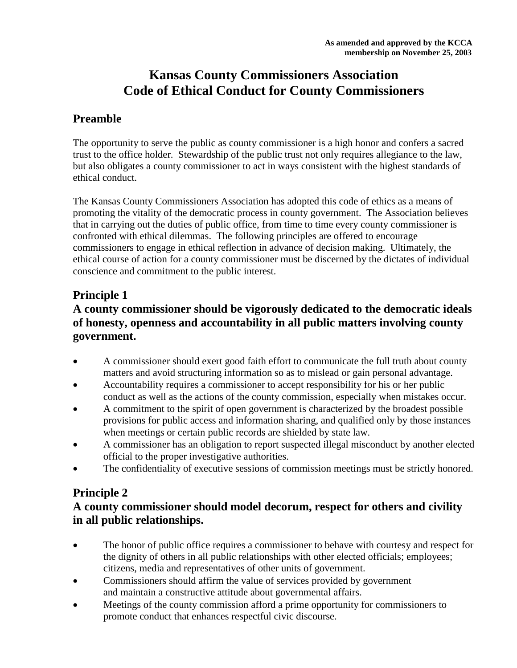## **Kansas County Commissioners Association Code of Ethical Conduct for County Commissioners**

#### **Preamble**

The opportunity to serve the public as county commissioner is a high honor and confers a sacred trust to the office holder. Stewardship of the public trust not only requires allegiance to the law, but also obligates a county commissioner to act in ways consistent with the highest standards of ethical conduct.

The Kansas County Commissioners Association has adopted this code of ethics as a means of promoting the vitality of the democratic process in county government. The Association believes that in carrying out the duties of public office, from time to time every county commissioner is confronted with ethical dilemmas. The following principles are offered to encourage commissioners to engage in ethical reflection in advance of decision making. Ultimately, the ethical course of action for a county commissioner must be discerned by the dictates of individual conscience and commitment to the public interest.

#### **Principle 1**

### **A county commissioner should be vigorously dedicated to the democratic ideals of honesty, openness and accountability in all public matters involving county government.**

- A commissioner should exert good faith effort to communicate the full truth about county matters and avoid structuring information so as to mislead or gain personal advantage.
- Accountability requires a commissioner to accept responsibility for his or her public conduct as well as the actions of the county commission, especially when mistakes occur.
- A commitment to the spirit of open government is characterized by the broadest possible provisions for public access and information sharing, and qualified only by those instances when meetings or certain public records are shielded by state law.
- A commissioner has an obligation to report suspected illegal misconduct by another elected official to the proper investigative authorities.
- The confidentiality of executive sessions of commission meetings must be strictly honored.

#### **Principle 2**

#### **A county commissioner should model decorum, respect for others and civility in all public relationships.**

- The honor of public office requires a commissioner to behave with courtesy and respect for the dignity of others in all public relationships with other elected officials; employees; citizens, media and representatives of other units of government.
- Commissioners should affirm the value of services provided by government and maintain a constructive attitude about governmental affairs.
- Meetings of the county commission afford a prime opportunity for commissioners to promote conduct that enhances respectful civic discourse.